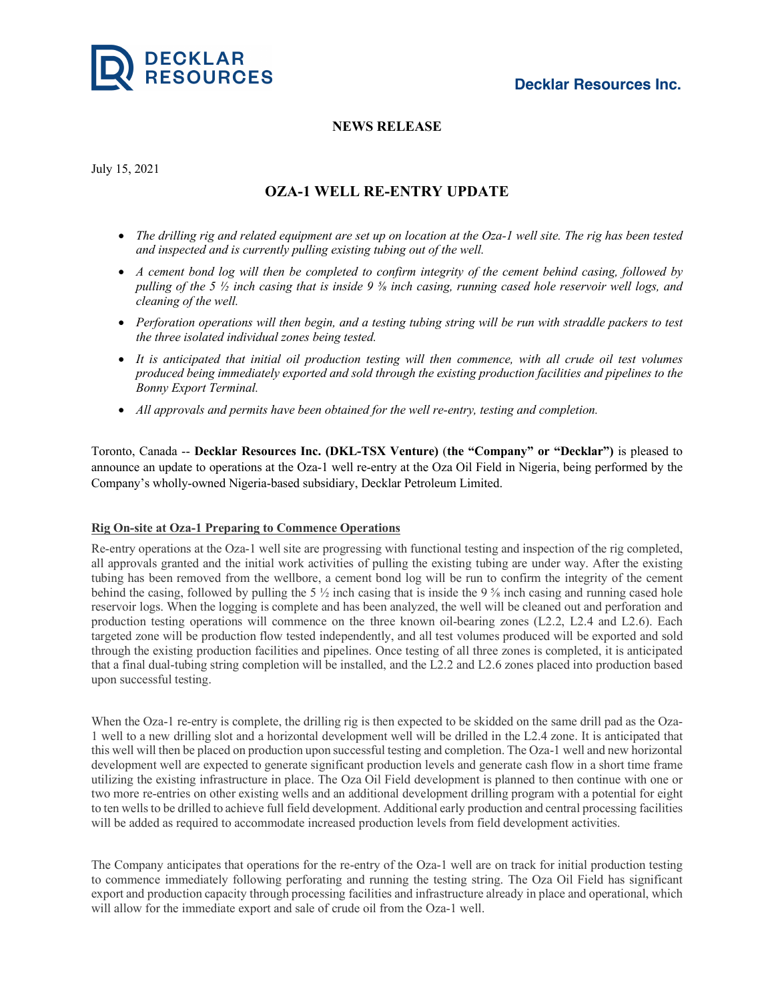

## **NEWS RELEASE**

July 15, 2021

# **OZA-1 WELL RE-ENTRY UPDATE**

- The drilling rig and related equipment are set up on location at the Oza-1 well site. The rig has been tested *and inspected and is currently pulling existing tubing out of the well.*
- A cement bond log will then be completed to confirm integrity of the cement behind casing, followed by pulling of the 5  $\frac{1}{2}$  inch casing that is inside 9  $\frac{5}{8}$  inch casing, running cased hole reservoir well logs, and *cleaning of the well.*
- Perforation operations will then begin, and a testing tubing string will be run with straddle packers to test *the three isolated individual zones being tested.*
- It is anticipated that initial oil production testing will then commence, with all crude oil test volumes *produced being immediately exported and sold through the existing production facilities and pipelines to the Bonny Export Terminal.*
- *All approvals and permits have been obtained for the well re-entry, testing and completion.*

Toronto, Canada -- **Decklar Resources Inc. (DKL-TSX Venture)** (**the "Company" or "Decklar")** is pleased to announce an update to operations at the Oza-1 well re-entry at the Oza Oil Field in Nigeria, being performed by the Company's wholly-owned Nigeria-based subsidiary, Decklar Petroleum Limited.

## **Rig On-site at Oza-1 Preparing to Commence Operations**

Re-entry operations at the Oza-1 well site are progressing with functional testing and inspection of the rig completed, all approvals granted and the initial work activities of pulling the existing tubing are under way. After the existing tubing has been removed from the wellbore, a cement bond log will be run to confirm the integrity of the cement behind the casing, followed by pulling the 5  $\frac{1}{2}$  inch casing that is inside the 9  $\frac{1}{2}$  inch casing and running cased hole reservoir logs. When the logging is complete and has been analyzed, the well will be cleaned out and perforation and production testing operations will commence on the three known oil-bearing zones (L2.2, L2.4 and L2.6). Each targeted zone will be production flow tested independently, and all test volumes produced will be exported and sold through the existing production facilities and pipelines. Once testing of all three zones is completed, it is anticipated that a final dual-tubing string completion will be installed, and the L2.2 and L2.6 zones placed into production based upon successful testing.

When the Oza-1 re-entry is complete, the drilling rig is then expected to be skidded on the same drill pad as the Oza-1 well to a new drilling slot and a horizontal development well will be drilled in the L2.4 zone. It is anticipated that this well will then be placed on production upon successful testing and completion. The Oza-1 well and new horizontal development well are expected to generate significant production levels and generate cash flow in a short time frame utilizing the existing infrastructure in place. The Oza Oil Field development is planned to then continue with one or two more re-entries on other existing wells and an additional development drilling program with a potential for eight to ten wells to be drilled to achieve full field development. Additional early production and central processing facilities will be added as required to accommodate increased production levels from field development activities.

The Company anticipates that operations for the re-entry of the Oza-1 well are on track for initial production testing to commence immediately following perforating and running the testing string. The Oza Oil Field has significant export and production capacity through processing facilities and infrastructure already in place and operational, which will allow for the immediate export and sale of crude oil from the Oza-1 well.